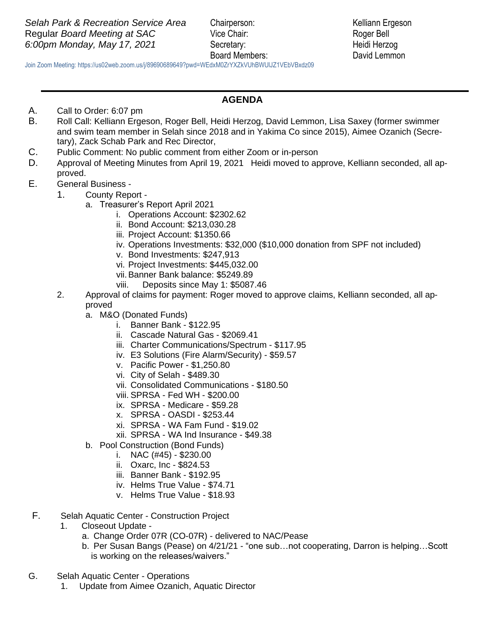Board Members: David Lemmon

 Join Zoom Meeting: https://us02web.zoom.us/j/89690689649?pwd=WEdxM0ZrYXZkVUhBWUlJZ1VEbVBxdz09

## **AGENDA**

- A. Call to Order: 6:07 pm
- B. Roll Call: Kelliann Ergeson, Roger Bell, Heidi Herzog, David Lemmon, Lisa Saxey (former swimmer and swim team member in Selah since 2018 and in Yakima Co since 2015), Aimee Ozanich (Secretary), Zack Schab Park and Rec Director,
- C. Public Comment: No public comment from either Zoom or in-person
- D. Approval of Meeting Minutes from April 19, 2021 Heidi moved to approve, Kelliann seconded, all approved.
- E. General Business
	- 1. County Report
		- a. Treasurer's Report April 2021
			- i. Operations Account: \$2302.62
			- ii. Bond Account: \$213,030.28
			- iii. Project Account: \$1350.66
			- iv. Operations Investments: \$32,000 (\$10,000 donation from SPF not included)
			- v. Bond Investments: \$247,913
			- vi. Project Investments: \$445,032.00
			- vii.Banner Bank balance: \$5249.89
			- viii. Deposits since May 1: \$5087.46
		- 2. Approval of claims for payment: Roger moved to approve claims, Kelliann seconded, all approved
			- a. M&O (Donated Funds)
				- i. Banner Bank \$122.95
				- ii. Cascade Natural Gas \$2069.41
				- iii. Charter Communications/Spectrum \$117.95
				- iv. E3 Solutions (Fire Alarm/Security) \$59.57
				- v. Pacific Power \$1,250.80
				- vi. City of Selah \$489.30
				- vii. Consolidated Communications \$180.50
				- viii. SPRSA Fed WH \$200.00
				- ix. SPRSA Medicare \$59.28
				- x. SPRSA OASDI \$253.44
				- xi. SPRSA WA Fam Fund \$19.02
				- xii. SPRSA WA Ind Insurance \$49.38
			- b. Pool Construction (Bond Funds)
				- i. NAC (#45) \$230.00
					- ii. Oxarc, Inc \$824.53
					- iii. Banner Bank \$192.95
					- iv. Helms True Value \$74.71
					- v. Helms True Value \$18.93
- F. Selah Aquatic Center Construction Project
	- 1. Closeout Update
		- a. Change Order 07R (CO-07R) delivered to NAC/Pease
		- b. Per Susan Bangs (Pease) on 4/21/21 "one sub…not cooperating, Darron is helping…Scott is working on the releases/waivers."
- G. Selah Aquatic Center Operations
	- 1. Update from Aimee Ozanich, Aquatic Director